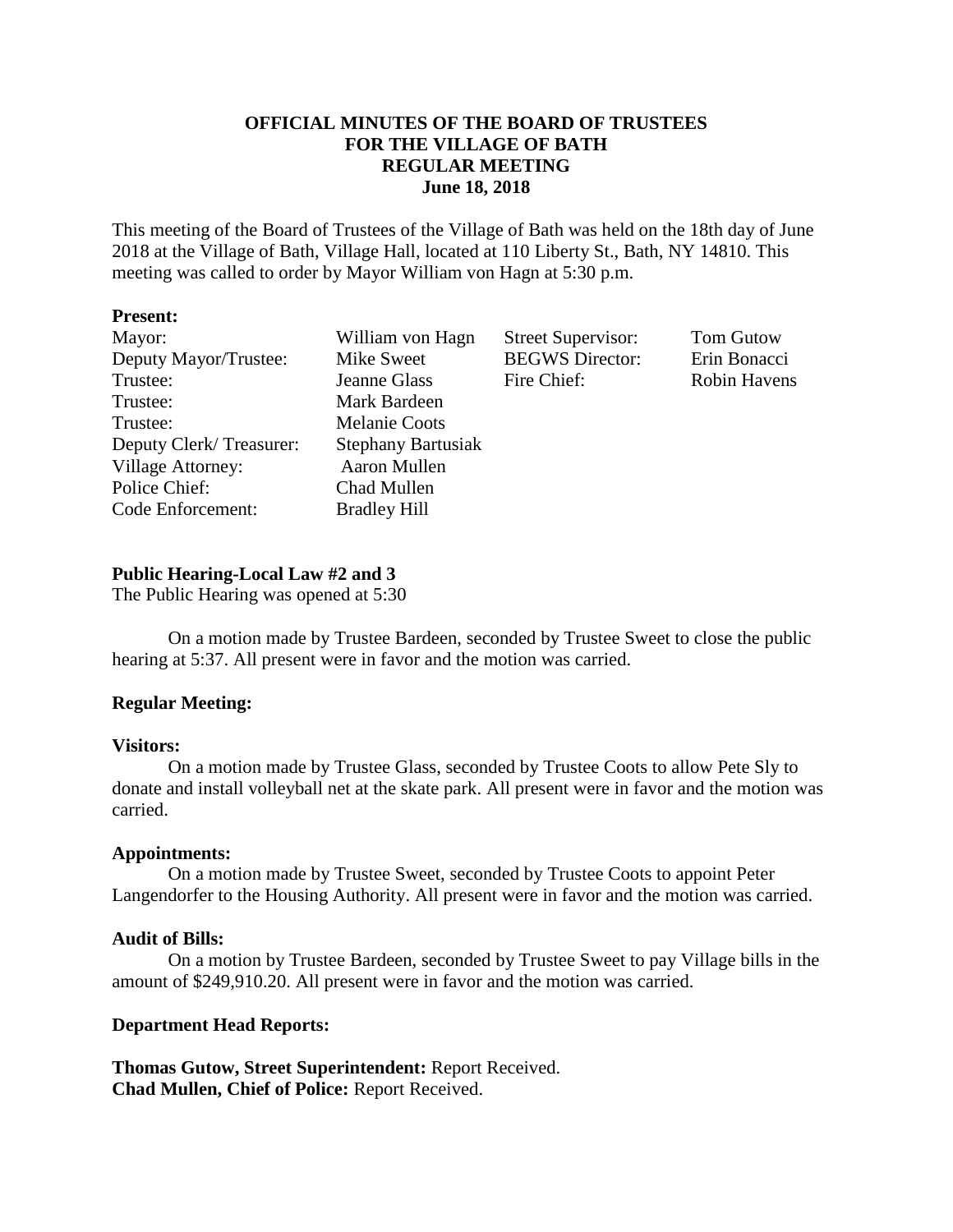# **OFFICIAL MINUTES OF THE BOARD OF TRUSTEES FOR THE VILLAGE OF BATH REGULAR MEETING June 18, 2018**

This meeting of the Board of Trustees of the Village of Bath was held on the 18th day of June 2018 at the Village of Bath, Village Hall, located at 110 Liberty St., Bath, NY 14810. This meeting was called to order by Mayor William von Hagn at 5:30 p.m.

## **Present:**

| Mayor:<br>Deputy Mayor/Trustee:<br>Trustee:<br>Trustee:                                               | William von Hagn<br>Mike Sweet<br>Jeanne Glass<br>Mark Bardeen                                          | <b>Street Supervisor:</b><br><b>BEGWS</b> Director:<br>Fire Chief: | <b>Tom Gutow</b><br>Erin Bonacci<br><b>Robin Havens</b> |
|-------------------------------------------------------------------------------------------------------|---------------------------------------------------------------------------------------------------------|--------------------------------------------------------------------|---------------------------------------------------------|
| Trustee:<br>Deputy Clerk/Treasurer:<br><b>Village Attorney:</b><br>Police Chief:<br>Code Enforcement: | <b>Melanie Coots</b><br><b>Stephany Bartusiak</b><br>Aaron Mullen<br>Chad Mullen<br><b>Bradley Hill</b> |                                                                    |                                                         |

# **Public Hearing-Local Law #2 and 3**

The Public Hearing was opened at 5:30

On a motion made by Trustee Bardeen, seconded by Trustee Sweet to close the public hearing at 5:37. All present were in favor and the motion was carried.

# **Regular Meeting:**

### **Visitors:**

On a motion made by Trustee Glass, seconded by Trustee Coots to allow Pete Sly to donate and install volleyball net at the skate park. All present were in favor and the motion was carried.

### **Appointments:**

On a motion made by Trustee Sweet, seconded by Trustee Coots to appoint Peter Langendorfer to the Housing Authority. All present were in favor and the motion was carried.

# **Audit of Bills:**

On a motion by Trustee Bardeen, seconded by Trustee Sweet to pay Village bills in the amount of \$249,910.20. All present were in favor and the motion was carried.

# **Department Head Reports:**

**Thomas Gutow, Street Superintendent:** Report Received. **Chad Mullen, Chief of Police:** Report Received.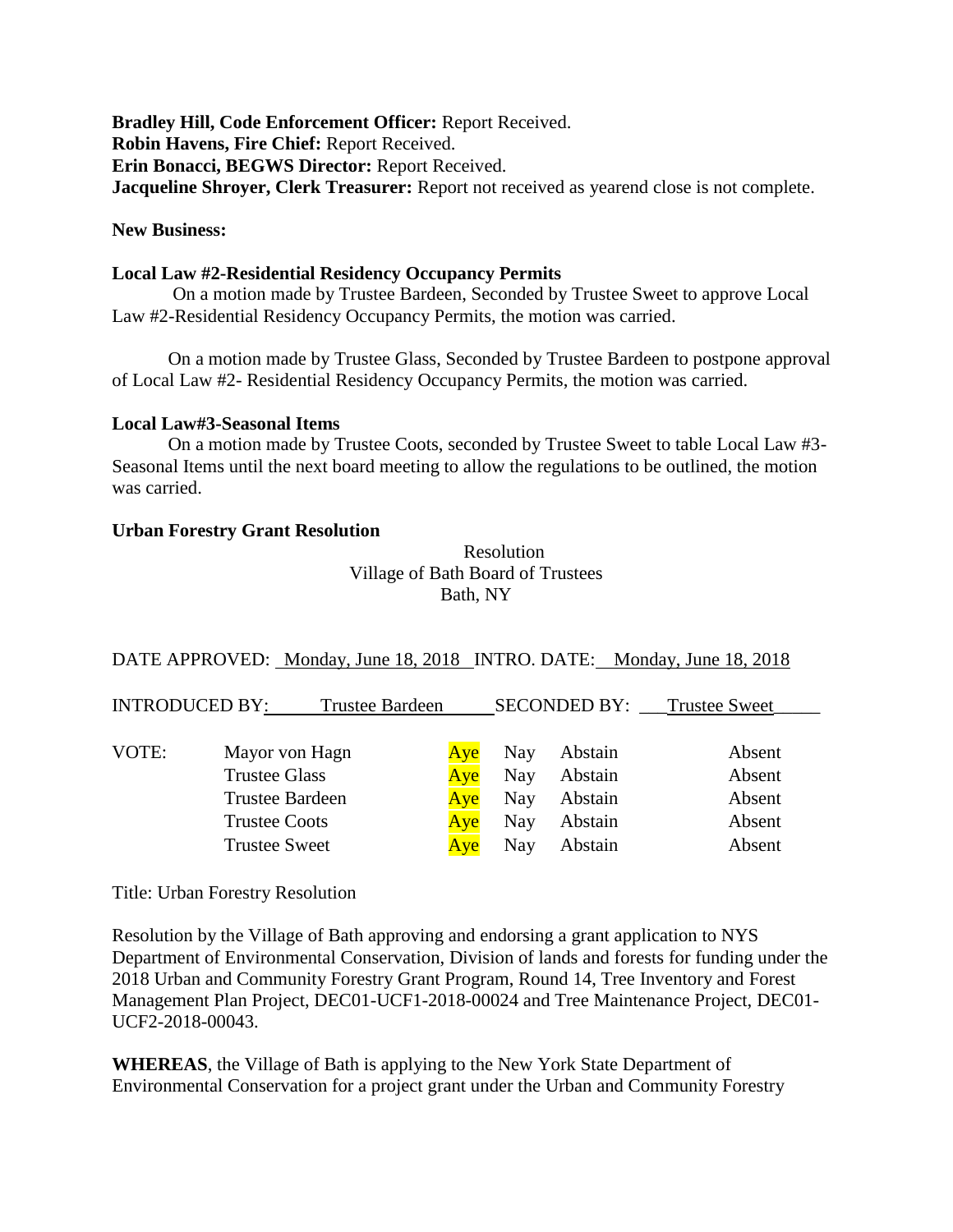**Bradley Hill, Code Enforcement Officer:** Report Received. **Robin Havens, Fire Chief:** Report Received. **Erin Bonacci, BEGWS Director:** Report Received. **Jacqueline Shroyer, Clerk Treasurer:** Report not received as yearend close is not complete.

## **New Business:**

# **Local Law #2-Residential Residency Occupancy Permits**

On a motion made by Trustee Bardeen, Seconded by Trustee Sweet to approve Local Law #2-Residential Residency Occupancy Permits, the motion was carried.

On a motion made by Trustee Glass, Seconded by Trustee Bardeen to postpone approval of Local Law #2- Residential Residency Occupancy Permits, the motion was carried.

### **Local Law#3-Seasonal Items**

On a motion made by Trustee Coots, seconded by Trustee Sweet to table Local Law #3- Seasonal Items until the next board meeting to allow the regulations to be outlined, the motion was carried.

## **Urban Forestry Grant Resolution**

Resolution Village of Bath Board of Trustees Bath, NY

# DATE APPROVED: Monday, June 18, 2018 INTRO. DATE: Monday, June 18, 2018

| <b>INTRODUCED BY:</b> |                        | Trustee Bardeen |     |     | <b>SECONDED BY:</b> | <b>Trustee Sweet</b> |
|-----------------------|------------------------|-----------------|-----|-----|---------------------|----------------------|
| VOTE:                 | Mayor von Hagn         |                 | Ave | Nay | Abstain             | Absent               |
|                       | <b>Trustee Glass</b>   |                 | Ave | Nay | Abstain             | Absent               |
|                       | <b>Trustee Bardeen</b> |                 | Ave | Nay | Abstain             | Absent               |
|                       | <b>Trustee Coots</b>   |                 | Ave | Nay | Abstain             | Absent               |
|                       | <b>Trustee Sweet</b>   |                 | Ave | Nay | Abstain             | Absent               |

Title: Urban Forestry Resolution

Resolution by the Village of Bath approving and endorsing a grant application to NYS Department of Environmental Conservation, Division of lands and forests for funding under the 2018 Urban and Community Forestry Grant Program, Round 14, Tree Inventory and Forest Management Plan Project, DEC01-UCF1-2018-00024 and Tree Maintenance Project, [DEC01-](https://grantsgateway.ny.gov/IntelliGrants_NYSGG/Menu_Object3.aspx) [UCF2-2018-00043.](https://grantsgateway.ny.gov/IntelliGrants_NYSGG/Menu_Object3.aspx)

**WHEREAS**, the Village of Bath is applying to the New York State Department of Environmental Conservation for a project grant under the Urban and Community Forestry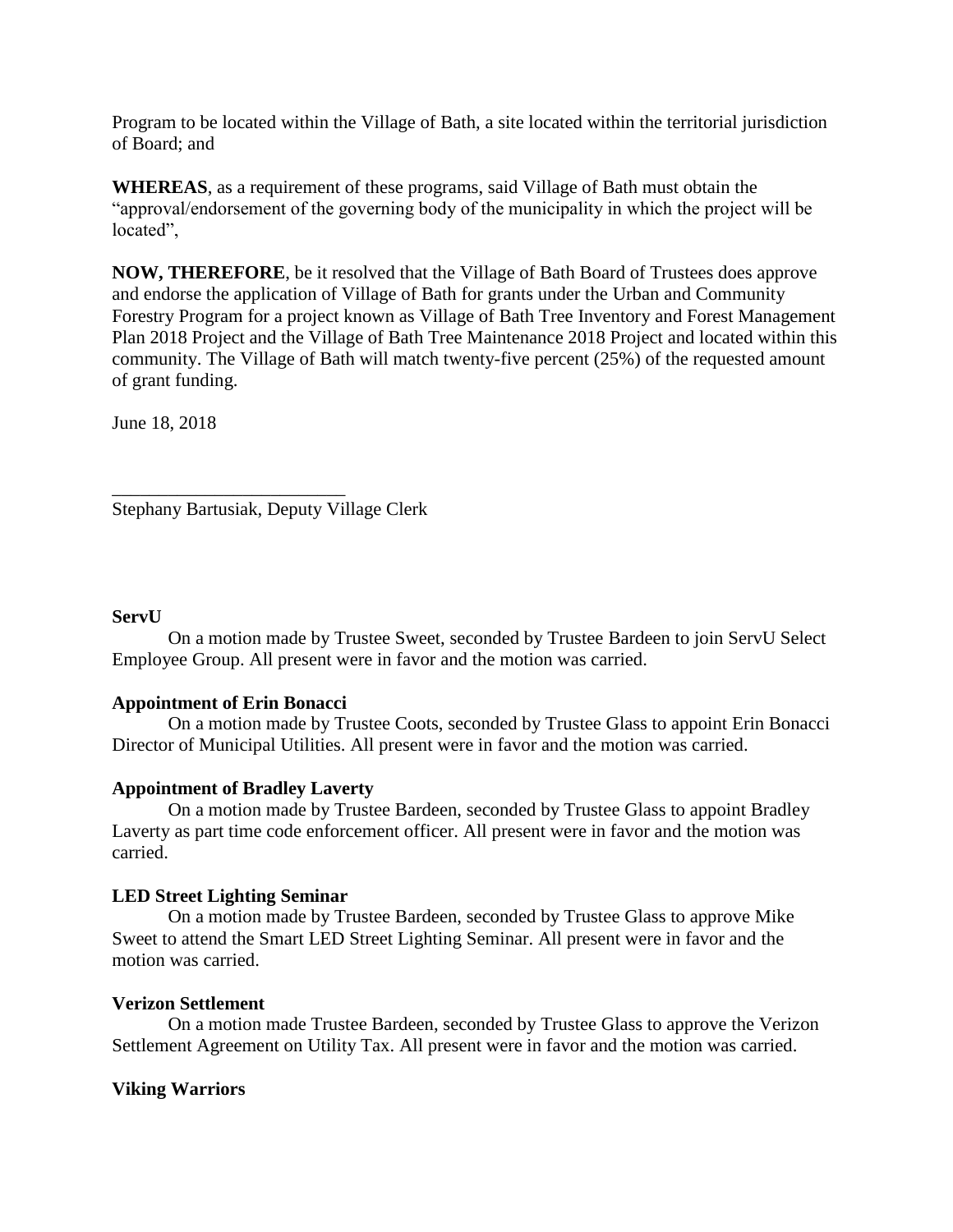Program to be located within the Village of Bath, a site located within the territorial jurisdiction of Board; and

**WHEREAS**, as a requirement of these programs, said Village of Bath must obtain the "approval/endorsement of the governing body of the municipality in which the project will be located",

**NOW, THEREFORE**, be it resolved that the Village of Bath Board of Trustees does approve and endorse the application of Village of Bath for grants under the Urban and Community Forestry Program for a project known as Village of Bath Tree Inventory and Forest Management Plan 2018 Project and the Village of Bath Tree Maintenance 2018 Project and located within this community. The Village of Bath will match twenty-five percent (25%) of the requested amount of grant funding.

June 18, 2018

Stephany Bartusiak, Deputy Village Clerk

\_\_\_\_\_\_\_\_\_\_\_\_\_\_\_\_\_\_\_\_\_\_\_\_\_

## **ServU**

On a motion made by Trustee Sweet, seconded by Trustee Bardeen to join ServU Select Employee Group. All present were in favor and the motion was carried.

### **Appointment of Erin Bonacci**

On a motion made by Trustee Coots, seconded by Trustee Glass to appoint Erin Bonacci Director of Municipal Utilities. All present were in favor and the motion was carried.

# **Appointment of Bradley Laverty**

On a motion made by Trustee Bardeen, seconded by Trustee Glass to appoint Bradley Laverty as part time code enforcement officer. All present were in favor and the motion was carried.

# **LED Street Lighting Seminar**

On a motion made by Trustee Bardeen, seconded by Trustee Glass to approve Mike Sweet to attend the Smart LED Street Lighting Seminar. All present were in favor and the motion was carried.

### **Verizon Settlement**

On a motion made Trustee Bardeen, seconded by Trustee Glass to approve the Verizon Settlement Agreement on Utility Tax. All present were in favor and the motion was carried.

### **Viking Warriors**